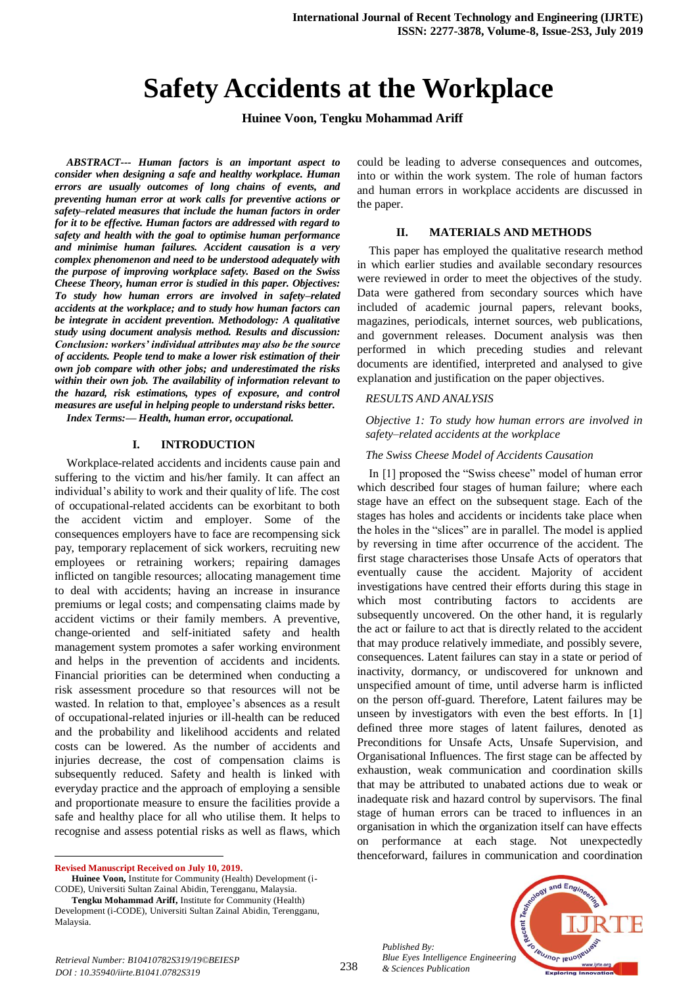# **Safety Accidents at the Workplace**

**Huinee Voon, Tengku Mohammad Ariff**

*ABSTRACT--- Human factors is an important aspect to consider when designing a safe and healthy workplace. Human errors are usually outcomes of long chains of events, and preventing human error at work calls for preventive actions or safety–related measures that include the human factors in order for it to be effective. Human factors are addressed with regard to safety and health with the goal to optimise human performance and minimise human failures. Accident causation is a very complex phenomenon and need to be understood adequately with the purpose of improving workplace safety. Based on the Swiss Cheese Theory, human error is studied in this paper. Objectives: To study how human errors are involved in safety–related accidents at the workplace; and to study how human factors can be integrate in accident prevention. Methodology: A qualitative study using document analysis method. Results and discussion: Conclusion: workers' individual attributes may also be the source of accidents. People tend to make a lower risk estimation of their own job compare with other jobs; and underestimated the risks within their own job. The availability of information relevant to the hazard, risk estimations, types of exposure, and control measures are useful in helping people to understand risks better.*

*Index Terms:— Health, human error, occupational.*

#### **I. INTRODUCTION**

Workplace-related accidents and incidents cause pain and suffering to the victim and his/her family. It can affect an individual's ability to work and their quality of life. The cost of occupational-related accidents can be exorbitant to both the accident victim and employer. Some of the consequences employers have to face are recompensing sick pay, temporary replacement of sick workers, recruiting new employees or retraining workers; repairing damages inflicted on tangible resources; allocating management time to deal with accidents; having an increase in insurance premiums or legal costs; and compensating claims made by accident victims or their family members. A preventive, change-oriented and self-initiated safety and health management system promotes a safer working environment and helps in the prevention of accidents and incidents. Financial priorities can be determined when conducting a risk assessment procedure so that resources will not be wasted. In relation to that, employee's absences as a result of occupational-related injuries or ill-health can be reduced and the probability and likelihood accidents and related costs can be lowered. As the number of accidents and injuries decrease, the cost of compensation claims is subsequently reduced. Safety and health is linked with everyday practice and the approach of employing a sensible and proportionate measure to ensure the facilities provide a safe and healthy place for all who utilise them. It helps to recognise and assess potential risks as well as flaws, which

**Revised Manuscript Received on July 10, 2019.**

 $\ddot{\phantom{a}}$ 

could be leading to adverse consequences and outcomes, into or within the work system. The role of human factors and human errors in workplace accidents are discussed in the paper.

#### **II. MATERIALS AND METHODS**

This paper has employed the qualitative research method in which earlier studies and available secondary resources were reviewed in order to meet the objectives of the study. Data were gathered from secondary sources which have included of academic journal papers, relevant books, magazines, periodicals, internet sources, web publications, and government releases. Document analysis was then performed in which preceding studies and relevant documents are identified, interpreted and analysed to give explanation and justification on the paper objectives.

#### *RESULTS AND ANALYSIS*

*Objective 1: To study how human errors are involved in safety–related accidents at the workplace*

#### *The Swiss Cheese Model of Accidents Causation*

In [1] proposed the "Swiss cheese" model of human error which described four stages of human failure; where each stage have an effect on the subsequent stage. Each of the stages has holes and accidents or incidents take place when the holes in the "slices" are in parallel. The model is applied by reversing in time after occurrence of the accident. The first stage characterises those Unsafe Acts of operators that eventually cause the accident. Majority of accident investigations have centred their efforts during this stage in which most contributing factors to accidents are subsequently uncovered. On the other hand, it is regularly the act or failure to act that is directly related to the accident that may produce relatively immediate, and possibly severe, consequences. Latent failures can stay in a state or period of inactivity, dormancy, or undiscovered for unknown and unspecified amount of time, until adverse harm is inflicted on the person off-guard. Therefore, Latent failures may be unseen by investigators with even the best efforts. In [1] defined three more stages of latent failures, denoted as Preconditions for Unsafe Acts, Unsafe Supervision, and Organisational Influences. The first stage can be affected by exhaustion, weak communication and coordination skills that may be attributed to unabated actions due to weak or inadequate risk and hazard control by supervisors. The final stage of human errors can be traced to influences in an organisation in which the organization itself can have effects on performance at each stage. Not unexpectedly thenceforward, failures in communication and coordination



**Huinee Voon,** Institute for Community (Health) Development (i-CODE), Universiti Sultan Zainal Abidin, Terengganu, Malaysia.

**Tengku Mohammad Ariff,** Institute for Community (Health) Development (i-CODE), Universiti Sultan Zainal Abidin, Terengganu, Malaysia.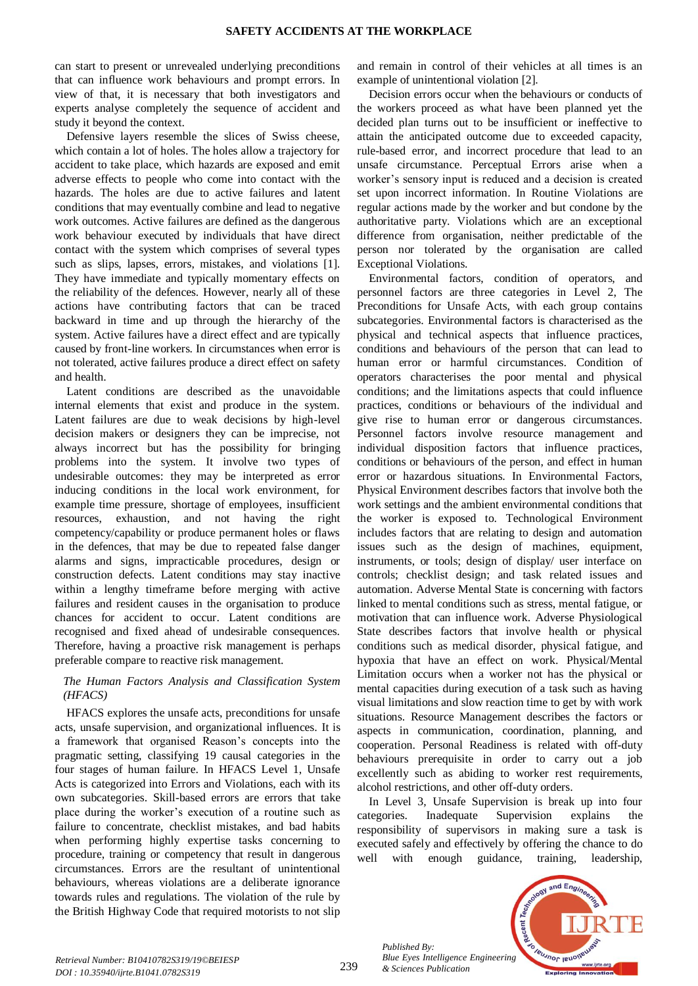can start to present or unrevealed underlying preconditions that can influence work behaviours and prompt errors. In view of that, it is necessary that both investigators and experts analyse completely the sequence of accident and study it beyond the context.

Defensive layers resemble the slices of Swiss cheese, which contain a lot of holes. The holes allow a trajectory for accident to take place, which hazards are exposed and emit adverse effects to people who come into contact with the hazards. The holes are due to active failures and latent conditions that may eventually combine and lead to negative work outcomes. Active failures are defined as the dangerous work behaviour executed by individuals that have direct contact with the system which comprises of several types such as slips, lapses, errors, mistakes, and violations [1]. They have immediate and typically momentary effects on the reliability of the defences. However, nearly all of these actions have contributing factors that can be traced backward in time and up through the hierarchy of the system. Active failures have a direct effect and are typically caused by front-line workers. In circumstances when error is not tolerated, active failures produce a direct effect on safety and health.

Latent conditions are described as the unavoidable internal elements that exist and produce in the system. Latent failures are due to weak decisions by high-level decision makers or designers they can be imprecise, not always incorrect but has the possibility for bringing problems into the system. It involve two types of undesirable outcomes: they may be interpreted as error inducing conditions in the local work environment, for example time pressure, shortage of employees, insufficient resources, exhaustion, and not having the right competency/capability or produce permanent holes or flaws in the defences, that may be due to repeated false danger alarms and signs, impracticable procedures, design or construction defects. Latent conditions may stay inactive within a lengthy timeframe before merging with active failures and resident causes in the organisation to produce chances for accident to occur. Latent conditions are recognised and fixed ahead of undesirable consequences. Therefore, having a proactive risk management is perhaps preferable compare to reactive risk management.

# *The Human Factors Analysis and Classification System (HFACS)*

HFACS explores the unsafe acts, preconditions for unsafe acts, unsafe supervision, and organizational influences. It is a framework that organised Reason's concepts into the pragmatic setting, classifying 19 causal categories in the four stages of human failure. In HFACS Level 1, Unsafe Acts is categorized into Errors and Violations, each with its own subcategories. Skill-based errors are errors that take place during the worker's execution of a routine such as failure to concentrate, checklist mistakes, and bad habits when performing highly expertise tasks concerning to procedure, training or competency that result in dangerous circumstances. Errors are the resultant of unintentional behaviours, whereas violations are a deliberate ignorance towards rules and regulations. The violation of the rule by the British Highway Code that required motorists to not slip

and remain in control of their vehicles at all times is an example of unintentional violation [2].

Decision errors occur when the behaviours or conducts of the workers proceed as what have been planned yet the decided plan turns out to be insufficient or ineffective to attain the anticipated outcome due to exceeded capacity, rule-based error, and incorrect procedure that lead to an unsafe circumstance. Perceptual Errors arise when a worker's sensory input is reduced and a decision is created set upon incorrect information. In Routine Violations are regular actions made by the worker and but condone by the authoritative party. Violations which are an exceptional difference from organisation, neither predictable of the person nor tolerated by the organisation are called Exceptional Violations.

Environmental factors, condition of operators, and personnel factors are three categories in Level 2, The Preconditions for Unsafe Acts, with each group contains subcategories. Environmental factors is characterised as the physical and technical aspects that influence practices, conditions and behaviours of the person that can lead to human error or harmful circumstances. Condition of operators characterises the poor mental and physical conditions; and the limitations aspects that could influence practices, conditions or behaviours of the individual and give rise to human error or dangerous circumstances. Personnel factors involve resource management and individual disposition factors that influence practices, conditions or behaviours of the person, and effect in human error or hazardous situations. In Environmental Factors, Physical Environment describes factors that involve both the work settings and the ambient environmental conditions that the worker is exposed to. Technological Environment includes factors that are relating to design and automation issues such as the design of machines, equipment, instruments, or tools; design of display/ user interface on controls; checklist design; and task related issues and automation. Adverse Mental State is concerning with factors linked to mental conditions such as stress, mental fatigue, or motivation that can influence work. Adverse Physiological State describes factors that involve health or physical conditions such as medical disorder, physical fatigue, and hypoxia that have an effect on work. Physical/Mental Limitation occurs when a worker not has the physical or mental capacities during execution of a task such as having visual limitations and slow reaction time to get by with work situations. Resource Management describes the factors or aspects in communication, coordination, planning, and cooperation. Personal Readiness is related with off-duty behaviours prerequisite in order to carry out a job excellently such as abiding to worker rest requirements, alcohol restrictions, and other off-duty orders.

In Level 3*,* Unsafe Supervision is break up into four categories. Inadequate Supervision explains the responsibility of supervisors in making sure a task is executed safely and effectively by offering the chance to do well with enough guidance, training, leadership,

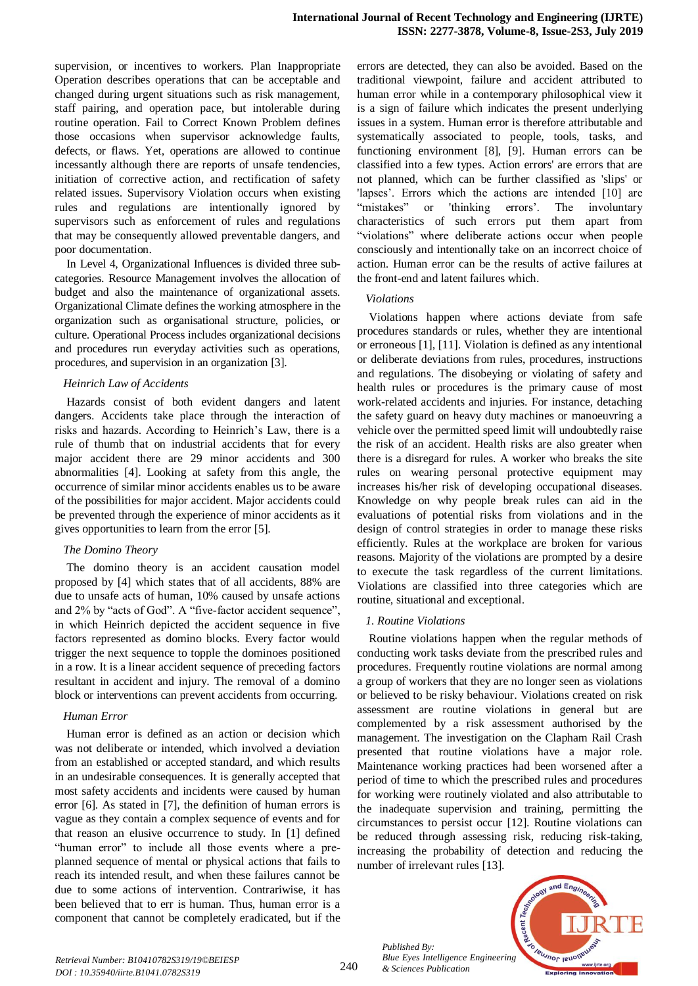supervision, or incentives to workers. Plan Inappropriate Operation describes operations that can be acceptable and changed during urgent situations such as risk management, staff pairing, and operation pace, but intolerable during routine operation. Fail to Correct Known Problem defines those occasions when supervisor acknowledge faults, defects, or flaws. Yet, operations are allowed to continue incessantly although there are reports of unsafe tendencies, initiation of corrective action, and rectification of safety related issues. Supervisory Violation occurs when existing rules and regulations are intentionally ignored by supervisors such as enforcement of rules and regulations that may be consequently allowed preventable dangers, and poor documentation.

In Level 4, Organizational Influences is divided three subcategories. Resource Management involves the allocation of budget and also the maintenance of organizational assets. Organizational Climate defines the working atmosphere in the organization such as organisational structure, policies, or culture. Operational Process includes organizational decisions and procedures run everyday activities such as operations, procedures, and supervision in an organization [3].

#### *Heinrich Law of Accidents*

Hazards consist of both evident dangers and latent dangers. Accidents take place through the interaction of risks and hazards. According to Heinrich's Law, there is a rule of thumb that on industrial accidents that for every major accident there are 29 minor accidents and 300 abnormalities [4]. Looking at safety from this angle, the occurrence of similar minor accidents enables us to be aware of the possibilities for major accident. Major accidents could be prevented through the experience of minor accidents as it gives opportunities to learn from the error [5].

## *The Domino Theory*

The domino theory is an accident causation model proposed by [4] which states that of all accidents, 88% are due to unsafe acts of human, 10% caused by unsafe actions and 2% by "acts of God". A "five-factor accident sequence", in which Heinrich depicted the accident sequence in five factors represented as domino blocks. Every factor would trigger the next sequence to topple the dominoes positioned in a row. It is a linear accident sequence of preceding factors resultant in accident and injury. The removal of a domino block or interventions can prevent accidents from occurring.

## *Human Error*

Human error is defined as an action or decision which was not deliberate or intended, which involved a deviation from an established or accepted standard, and which results in an undesirable consequences. It is generally accepted that most safety accidents and incidents were caused by human error [6]. As stated in [7], the definition of human errors is vague as they contain a complex sequence of events and for that reason an elusive occurrence to study. In [1] defined "human error" to include all those events where a preplanned sequence of mental or physical actions that fails to reach its intended result, and when these failures cannot be due to some actions of intervention. Contrariwise, it has been believed that to err is human. Thus, human error is a component that cannot be completely eradicated, but if the errors are detected, they can also be avoided. Based on the traditional viewpoint, failure and accident attributed to human error while in a contemporary philosophical view it is a sign of failure which indicates the present underlying issues in a system. Human error is therefore attributable and systematically associated to people, tools, tasks, and functioning environment [8], [9]. Human errors can be classified into a few types. Action errors' are errors that are not planned, which can be further classified as 'slips' or 'lapses'. Errors which the actions are intended [10] are "mistakes" or 'thinking errors'. The involuntary characteristics of such errors put them apart from "violations" where deliberate actions occur when people consciously and intentionally take on an incorrect choice of action. Human error can be the results of active failures at the front-end and latent failures which.

#### *Violations*

Violations happen where actions deviate from safe procedures standards or rules, whether they are intentional or erroneous [1], [11]. Violation is defined as any intentional or deliberate deviations from rules, procedures, instructions and regulations. The disobeying or violating of safety and health rules or procedures is the primary cause of most work-related accidents and injuries. For instance, detaching the safety guard on heavy duty machines or manoeuvring a vehicle over the permitted speed limit will undoubtedly raise the risk of an accident. Health risks are also greater when there is a disregard for rules. A worker who breaks the site rules on wearing personal protective equipment may increases his/her risk of developing occupational diseases. Knowledge on why people break rules can aid in the evaluations of potential risks from violations and in the design of control strategies in order to manage these risks efficiently. Rules at the workplace are broken for various reasons. Majority of the violations are prompted by a desire to execute the task regardless of the current limitations. Violations are classified into three categories which are routine, situational and exceptional.

## *1. Routine Violations*

Routine violations happen when the regular methods of conducting work tasks deviate from the prescribed rules and procedures. Frequently routine violations are normal among a group of workers that they are no longer seen as violations or believed to be risky behaviour. Violations created on risk assessment are routine violations in general but are complemented by a risk assessment authorised by the management. The investigation on the Clapham Rail Crash presented that routine violations have a major role. Maintenance working practices had been worsened after a period of time to which the prescribed rules and procedures for working were routinely violated and also attributable to the inadequate supervision and training, permitting the circumstances to persist occur [12]. Routine violations can be reduced through assessing risk, reducing risk-taking, increasing the probability of detection and reducing the number of irrelevant rules [13].

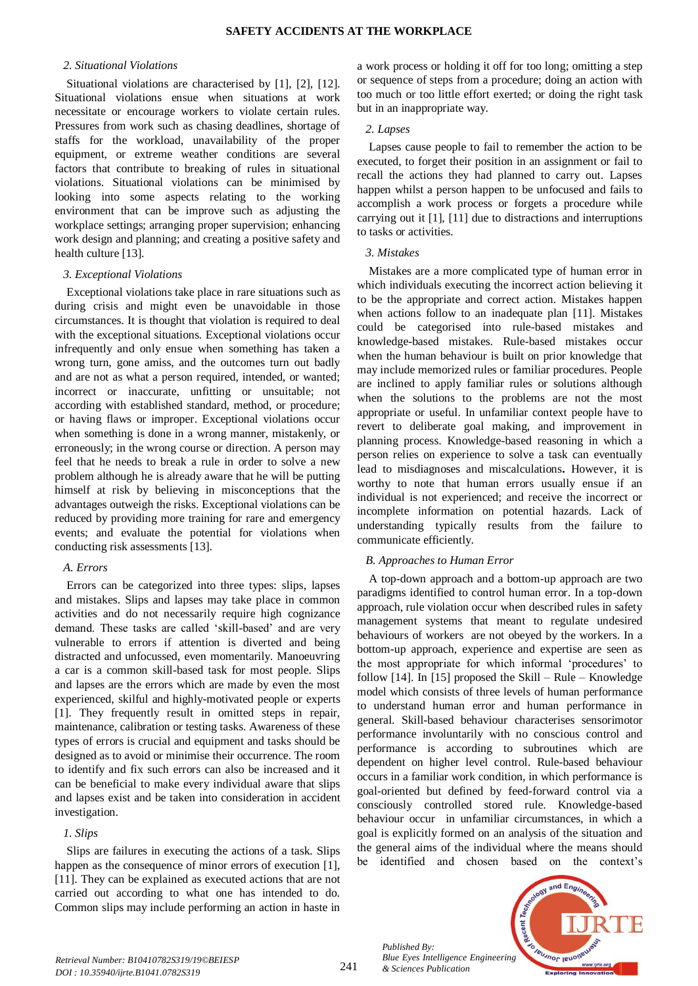#### *2. Situational Violations*

Situational violations are characterised by [1], [2], [12]. Situational violations ensue when situations at work necessitate or encourage workers to violate certain rules. Pressures from work such as chasing deadlines, shortage of staffs for the workload, unavailability of the proper equipment, or extreme weather conditions are several factors that contribute to breaking of rules in situational violations. Situational violations can be minimised by looking into some aspects relating to the working environment that can be improve such as adjusting the workplace settings; arranging proper supervision; enhancing work design and planning; and creating a positive safety and health culture [13].

#### *3. Exceptional Violations*

Exceptional violations take place in rare situations such as during crisis and might even be unavoidable in those circumstances. It is thought that violation is required to deal with the exceptional situations. Exceptional violations occur infrequently and only ensue when something has taken a wrong turn, gone amiss, and the outcomes turn out badly and are not as what a person required, intended, or wanted; incorrect or inaccurate, unfitting or unsuitable; not according with established standard, method, or procedure; or having flaws or improper. Exceptional violations occur when something is done in a wrong manner, mistakenly, or erroneously; in the wrong course or direction. A person may feel that he needs to break a rule in order to solve a new problem although he is already aware that he will be putting himself at risk by believing in misconceptions that the advantages outweigh the risks. Exceptional violations can be reduced by providing more training for rare and emergency events; and evaluate the potential for violations when conducting risk assessments [13].

#### *A. Errors*

Errors can be categorized into three types: slips, lapses and mistakes. Slips and lapses may take place in common activities and do not necessarily require high cognizance demand. These tasks are called 'skill-based' and are very vulnerable to errors if attention is diverted and being distracted and unfocussed, even momentarily. Manoeuvring a car is a common skill-based task for most people. Slips and lapses are the errors which are made by even the most experienced, skilful and highly-motivated people or experts [1]. They frequently result in omitted steps in repair, maintenance, calibration or testing tasks. Awareness of these types of errors is crucial and equipment and tasks should be designed as to avoid or minimise their occurrence. The room to identify and fix such errors can also be increased and it can be beneficial to make every individual aware that slips and lapses exist and be taken into consideration in accident investigation.

## *1. Slips*

Slips are failures in executing the actions of a task. Slips happen as the consequence of minor errors of execution [1], [11]. They can be explained as executed actions that are not carried out according to what one has intended to do. Common slips may include performing an action in haste in

a work process or holding it off for too long; omitting a step or sequence of steps from a procedure; doing an action with too much or too little effort exerted; or doing the right task but in an inappropriate way.

## *2. Lapses*

Lapses cause people to fail to remember the action to be executed, to forget their position in an assignment or fail to recall the actions they had planned to carry out. Lapses happen whilst a person happen to be unfocused and fails to accomplish a work process or forgets a procedure while carrying out it [1], [11] due to distractions and interruptions to tasks or activities.

## *3. Mistakes*

Mistakes are a more complicated type of human error in which individuals executing the incorrect action believing it to be the appropriate and correct action. Mistakes happen when actions follow to an inadequate plan [11]. Mistakes could be categorised into rule-based mistakes and knowledge-based mistakes. Rule-based mistakes occur when the human behaviour is built on prior knowledge that may include memorized rules or familiar procedures. People are inclined to apply familiar rules or solutions although when the solutions to the problems are not the most appropriate or useful. In unfamiliar context people have to revert to deliberate goal making, and improvement in planning process. Knowledge-based reasoning in which a person relies on experience to solve a task can eventually lead to misdiagnoses and miscalculations**.** However, it is worthy to note that human errors usually ensue if an individual is not experienced; and receive the incorrect or incomplete information on potential hazards. Lack of understanding typically results from the failure to communicate efficiently.

# *B. Approaches to Human Error*

A top-down approach and a bottom-up approach are two paradigms identified to control human error. In a top-down approach, rule violation occur when described rules in safety management systems that meant to regulate undesired behaviours of workers are not obeyed by the workers. In a bottom-up approach, experience and expertise are seen as the most appropriate for which informal 'procedures' to follow  $[14]$ . In  $[15]$  proposed the Skill – Rule – Knowledge model which consists of three levels of human performance to understand human error and human performance in general. Skill-based behaviour characterises sensorimotor performance involuntarily with no conscious control and performance is according to subroutines which are dependent on higher level control. Rule-based behaviour occurs in a familiar work condition, in which performance is goal-oriented but defined by feed-forward control via a consciously controlled stored rule. Knowledge-based behaviour occur in unfamiliar circumstances, in which a goal is explicitly formed on an analysis of the situation and the general aims of the individual where the means should be identified and chosen based on the context's

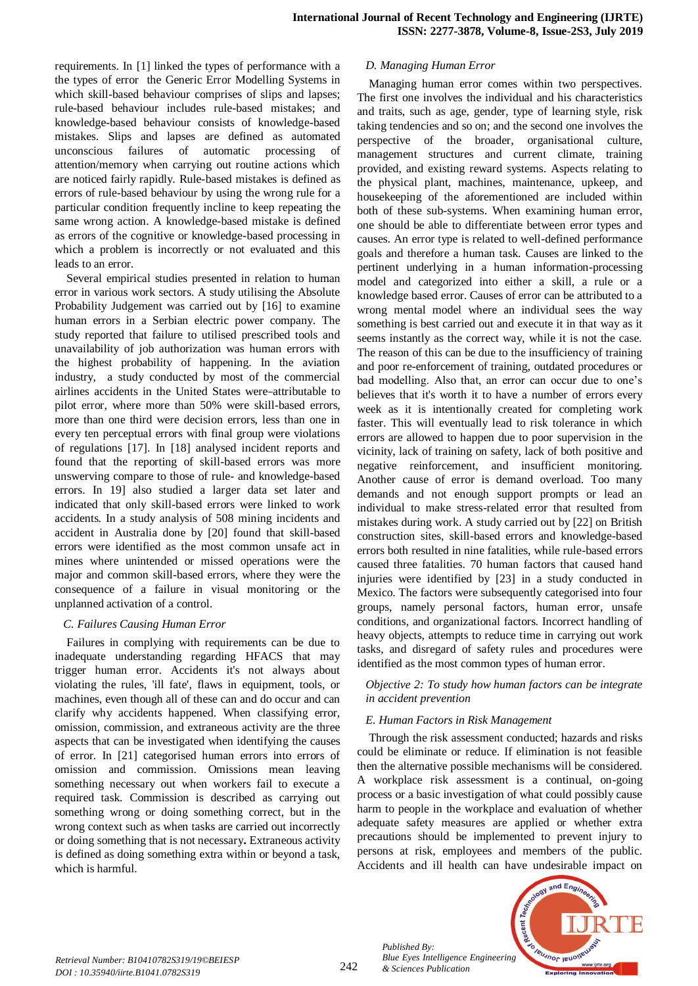requirements. In [1] linked the types of performance with a the types of error the Generic Error Modelling Systems in which skill-based behaviour comprises of slips and lapses; rule-based behaviour includes rule-based mistakes; and knowledge-based behaviour consists of knowledge-based mistakes. Slips and lapses are defined as automated unconscious failures of automatic processing of attention/memory when carrying out routine actions which are noticed fairly rapidly. Rule-based mistakes is defined as errors of rule-based behaviour by using the wrong rule for a particular condition frequently incline to keep repeating the same wrong action. A knowledge-based mistake is defined as errors of the cognitive or knowledge-based processing in which a problem is incorrectly or not evaluated and this leads to an error.

Several empirical studies presented in relation to human error in various work sectors. A study utilising the Absolute Probability Judgement was carried out by [16] to examine human errors in a Serbian electric power company. The study reported that failure to utilised prescribed tools and unavailability of job authorization was human errors with the highest probability of happening. In the aviation industry, a study conducted by most of the commercial airlines accidents in the United States were attributable to pilot error, where more than 50% were skill-based errors, more than one third were decision errors, less than one in every ten perceptual errors with final group were violations of regulations [17]. In [18] analysed incident reports and found that the reporting of skill-based errors was more unswerving compare to those of rule- and knowledge-based errors. In 19] also studied a larger data set later and indicated that only skill-based errors were linked to work accidents. In a study analysis of 508 mining incidents and accident in Australia done by [20] found that skill-based errors were identified as the most common unsafe act in mines where unintended or missed operations were the major and common skill-based errors, where they were the consequence of a failure in visual monitoring or the unplanned activation of a control.

## *C. Failures Causing Human Error*

Failures in complying with requirements can be due to inadequate understanding regarding HFACS that may trigger human error. Accidents it's not always about violating the rules, 'ill fate', flaws in equipment, tools, or machines, even though all of these can and do occur and can clarify why accidents happened. When classifying error, omission, commission, and extraneous activity are the three aspects that can be investigated when identifying the causes of error. In [21] categorised human errors into errors of omission and commission. Omissions mean leaving something necessary out when workers fail to execute a required task. Commission is described as carrying out something wrong or doing something correct, but in the wrong context such as when tasks are carried out incorrectly or doing something that is not necessary**.** Extraneous activity is defined as doing something extra within or beyond a task, which is harmful.

## *D. Managing Human Error*

Managing human error comes within two perspectives. The first one involves the individual and his characteristics and traits, such as age, gender, type of learning style, risk taking tendencies and so on; and the second one involves the perspective of the broader, organisational culture, management structures and current climate, training provided, and existing reward systems. Aspects relating to the physical plant, machines, maintenance, upkeep, and housekeeping of the aforementioned are included within both of these sub-systems. When examining human error, one should be able to differentiate between error types and causes. An error type is related to well-defined performance goals and therefore a human task. Causes are linked to the pertinent underlying in a human information-processing model and categorized into either a skill, a rule or a knowledge based error. Causes of error can be attributed to a wrong mental model where an individual sees the way something is best carried out and execute it in that way as it seems instantly as the correct way, while it is not the case. The reason of this can be due to the insufficiency of training and poor re-enforcement of training, outdated procedures or bad modelling. Also that, an error can occur due to one's believes that it's worth it to have a number of errors every week as it is intentionally created for completing work faster. This will eventually lead to risk tolerance in which errors are allowed to happen due to poor supervision in the vicinity, lack of training on safety, lack of both positive and negative reinforcement, and insufficient monitoring. Another cause of error is demand overload. Too many demands and not enough support prompts or lead an individual to make stress-related error that resulted from mistakes during work. A study carried out by [22] on British construction sites, skill-based errors and knowledge-based errors both resulted in nine fatalities, while rule-based errors caused three fatalities. 70 human factors that caused hand injuries were identified by [23] in a study conducted in Mexico. The factors were subsequently categorised into four groups, namely personal factors, human error, unsafe conditions, and organizational factors. Incorrect handling of heavy objects, attempts to reduce time in carrying out work tasks, and disregard of safety rules and procedures were identified as the most common types of human error.

#### *Objective 2: To study how human factors can be integrate in accident prevention*

## *E. Human Factors in Risk Management*

Through the risk assessment conducted; hazards and risks could be eliminate or reduce. If elimination is not feasible then the alternative possible mechanisms will be considered. A workplace risk assessment is a continual, on-going process or a basic investigation of what could possibly cause harm to people in the workplace and evaluation of whether adequate safety measures are applied or whether extra precautions should be implemented to prevent injury to persons at risk, employees and members of the public. Accidents and ill health can have undesirable impact on



*Published By:*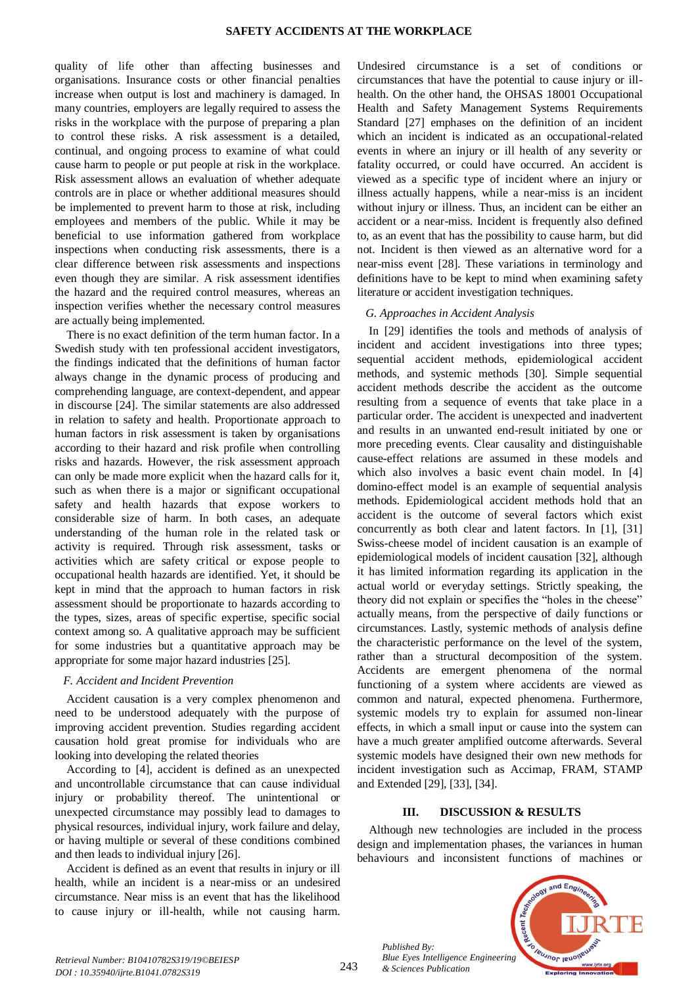quality of life other than affecting businesses and organisations. Insurance costs or other financial penalties increase when output is lost and machinery is damaged. In many countries, employers are legally required to assess the risks in the workplace with the purpose of preparing a plan to control these risks. A risk assessment is a detailed, continual, and ongoing process to examine of what could cause harm to people or put people at risk in the workplace. Risk assessment allows an evaluation of whether adequate controls are in place or whether additional measures should be implemented to prevent harm to those at risk, including employees and members of the public. While it may be beneficial to use information gathered from workplace inspections when conducting risk assessments, there is a clear difference between risk assessments and inspections even though they are similar. A risk assessment identifies the hazard and the required control measures, whereas an inspection verifies whether the necessary control measures are actually being implemented.

There is no exact definition of the term human factor. In a Swedish study with ten professional accident investigators, the findings indicated that the definitions of human factor always change in the dynamic process of producing and comprehending language, are context-dependent, and appear in discourse [24]. The similar statements are also addressed in relation to safety and health. Proportionate approach to human factors in risk assessment is taken by organisations according to their hazard and risk profile when controlling risks and hazards. However, the risk assessment approach can only be made more explicit when the hazard calls for it, such as when there is a major or significant occupational safety and health hazards that expose workers to considerable size of harm. In both cases, an adequate understanding of the human role in the related task or activity is required. Through risk assessment, tasks or activities which are safety critical or expose people to occupational health hazards are identified. Yet, it should be kept in mind that the approach to human factors in risk assessment should be proportionate to hazards according to the types, sizes, areas of specific expertise, specific social context among so. A qualitative approach may be sufficient for some industries but a quantitative approach may be appropriate for some major hazard industries [25].

## *F. Accident and Incident Prevention*

Accident causation is a very complex phenomenon and need to be understood adequately with the purpose of improving accident prevention. Studies regarding accident causation hold great promise for individuals who are looking into developing the related theories

According to [4], accident is defined as an unexpected and uncontrollable circumstance that can cause individual injury or probability thereof. The unintentional or unexpected circumstance may possibly lead to damages to physical resources, individual injury, work failure and delay, or having multiple or several of these conditions combined and then leads to individual injury [26].

Accident is defined as an event that results in injury or ill health, while an incident is a near-miss or an undesired circumstance. Near miss is an event that has the likelihood to cause injury or ill-health, while not causing harm.

Undesired circumstance is a set of conditions or circumstances that have the potential to cause injury or illhealth. On the other hand, the OHSAS 18001 Occupational Health and Safety Management Systems Requirements Standard [27] emphases on the definition of an incident which an incident is indicated as an occupational-related events in where an injury or ill health of any severity or fatality occurred, or could have occurred. An accident is viewed as a specific type of incident where an injury or illness actually happens, while a near-miss is an incident without injury or illness. Thus, an incident can be either an accident or a near-miss. Incident is frequently also defined to, as an event that has the possibility to cause harm, but did not. Incident is then viewed as an alternative word for a near-miss event [28]. These variations in terminology and definitions have to be kept to mind when examining safety literature or accident investigation techniques.

## *G. Approaches in Accident Analysis*

In [29] identifies the tools and methods of analysis of incident and accident investigations into three types; sequential accident methods, epidemiological accident methods, and systemic methods [30]. Simple sequential accident methods describe the accident as the outcome resulting from a sequence of events that take place in a particular order. The accident is unexpected and inadvertent and results in an unwanted end-result initiated by one or more preceding events. Clear causality and distinguishable cause-effect relations are assumed in these models and which also involves a basic event chain model. In [4] domino-effect model is an example of sequential analysis methods. Epidemiological accident methods hold that an accident is the outcome of several factors which exist concurrently as both clear and latent factors. In [1], [31] Swiss-cheese model of incident causation is an example of epidemiological models of incident causation [32], although it has limited information regarding its application in the actual world or everyday settings. Strictly speaking, the theory did not explain or specifies the "holes in the cheese" actually means, from the perspective of daily functions or circumstances. Lastly, systemic methods of analysis define the characteristic performance on the level of the system, rather than a structural decomposition of the system. Accidents are emergent phenomena of the normal functioning of a system where accidents are viewed as common and natural, expected phenomena. Furthermore, systemic models try to explain for assumed non-linear effects, in which a small input or cause into the system can have a much greater amplified outcome afterwards. Several systemic models have designed their own new methods for incident investigation such as Accimap, FRAM, STAMP and Extended [29], [33], [34].

## **III. DISCUSSION & RESULTS**

Although new technologies are included in the process design and implementation phases, the variances in human behaviours and inconsistent functions of machines or



*Retrieval Number: B10410782S319/19©BEIESP DOI : 10.35940/ijrte.B1041.0782S319*

*Published By:*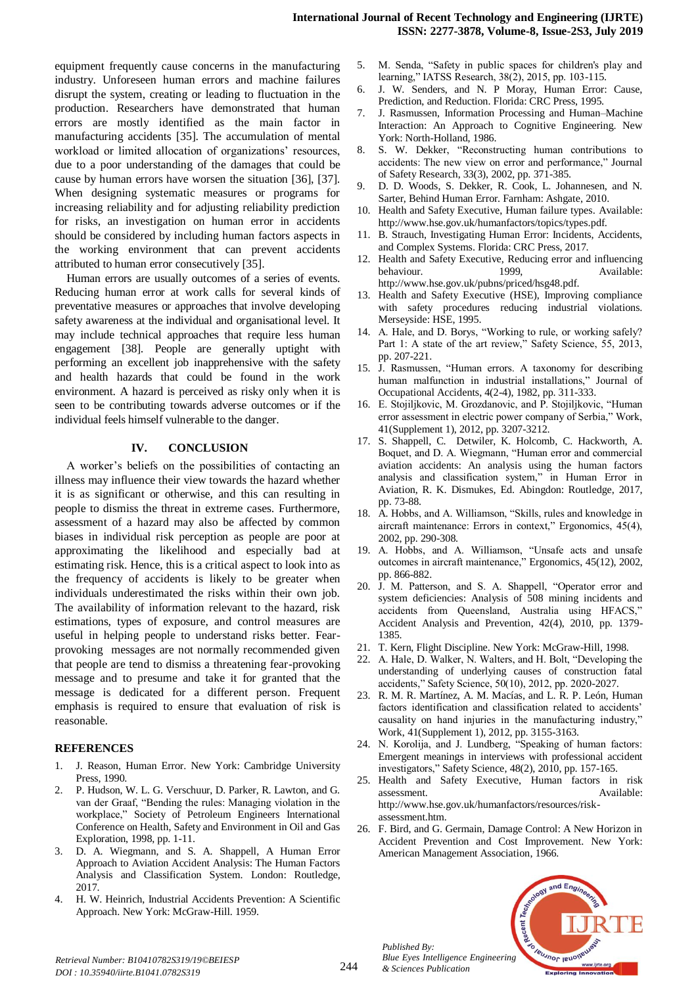equipment frequently cause concerns in the manufacturing industry. Unforeseen human errors and machine failures disrupt the system, creating or leading to fluctuation in the production. Researchers have demonstrated that human errors are mostly identified as the main factor in manufacturing accidents [35]. The accumulation of mental workload or limited allocation of organizations' resources, due to a poor understanding of the damages that could be cause by human errors have worsen the situation [36], [37]. When designing systematic measures or programs for increasing reliability and for adjusting reliability prediction for risks, an investigation on human error in accidents should be considered by including human factors aspects in the working environment that can prevent accidents attributed to human error consecutively [35].

Human errors are usually outcomes of a series of events. Reducing human error at work calls for several kinds of preventative measures or approaches that involve developing safety awareness at the individual and organisational level. It may include technical approaches that require less human engagement [38]. People are generally uptight with performing an excellent job inapprehensive with the safety and health hazards that could be found in the work environment. A hazard is perceived as risky only when it is seen to be contributing towards adverse outcomes or if the individual feels himself vulnerable to the danger.

## **IV. CONCLUSION**

A worker's beliefs on the possibilities of contacting an illness may influence their view towards the hazard whether it is as significant or otherwise, and this can resulting in people to dismiss the threat in extreme cases. Furthermore, assessment of a hazard may also be affected by common biases in individual risk perception as people are poor at approximating the likelihood and especially bad at estimating risk. Hence, this is a critical aspect to look into as the frequency of accidents is likely to be greater when individuals underestimated the risks within their own job. The availability of information relevant to the hazard, risk estimations, types of exposure, and control measures are useful in helping people to understand risks better. Fearprovoking messages are not normally recommended given that people are tend to dismiss a threatening fear-provoking message and to presume and take it for granted that the message is dedicated for a different person. Frequent emphasis is required to ensure that evaluation of risk is reasonable.

## **REFERENCES**

- 1. J. Reason, Human Error. New York: Cambridge University Press, 1990.
- 2. P. Hudson, W. L. G. Verschuur, D. Parker, R. Lawton, and G. van der Graaf, "Bending the rules: Managing violation in the workplace," Society of Petroleum Engineers International Conference on Health, Safety and Environment in Oil and Gas Exploration, 1998, pp. 1-11.
- 3. D. A. Wiegmann, and S. A. Shappell, A Human Error Approach to Aviation Accident Analysis: The Human Factors Analysis and Classification System. London: Routledge, 2017.
- 4. H. W. Heinrich, Industrial Accidents Prevention: A Scientific Approach. New York: McGraw-Hill. 1959.
- M. Senda, "Safety in public spaces for children's play and learning," IATSS Research, 38(2), 2015, pp. 103-115.
- 6. J. W. Senders, and N. P Moray, Human Error: Cause, Prediction, and Reduction. Florida: CRC Press, 1995.
- 7. J. Rasmussen, Information Processing and Human–Machine Interaction: An Approach to Cognitive Engineering. New York: North-Holland, 1986.
- 8. S. W. Dekker, "Reconstructing human contributions to accidents: The new view on error and performance," Journal of Safety Research, 33(3), 2002, pp. 371-385.
- 9. D. D. Woods, S. Dekker, R. Cook, L. Johannesen, and N. Sarter, Behind Human Error. Farnham: Ashgate, 2010.
- 10. Health and Safety Executive, Human failure types. Available: http://www.hse.gov.uk/humanfactors/topics/types.pdf.
- 11. B. Strauch, Investigating Human Error: Incidents, Accidents, and Complex Systems. Florida: CRC Press, 2017.
- 12. Health and Safety Executive, Reducing error and influencing behaviour. 1999, Available: http://www.hse.gov.uk/pubns/priced/hsg48.pdf.
- 13. Health and Safety Executive (HSE), Improving compliance with safety procedures reducing industrial violations. Merseyside: HSE, 1995.
- 14. A. Hale, and D. Borys, "Working to rule, or working safely? Part 1: A state of the art review," Safety Science, 55, 2013, pp. 207-221.
- 15. J. Rasmussen, "Human errors. A taxonomy for describing human malfunction in industrial installations," Journal of Occupational Accidents, 4(2-4), 1982, pp. 311-333.
- 16. E. Stojiljkovic, M. Grozdanovic, and P. Stojiljkovic, "Human error assessment in electric power company of Serbia," Work, 41(Supplement 1), 2012, pp. 3207-3212.
- 17. S. Shappell, C. Detwiler, K. Holcomb, C. Hackworth, A. Boquet, and D. A. Wiegmann, "Human error and commercial aviation accidents: An analysis using the human factors analysis and classification system," in Human Error in Aviation, R. K. Dismukes, Ed. Abingdon: Routledge, 2017, pp. 73-88.
- 18. A. Hobbs, and A. Williamson, "Skills, rules and knowledge in aircraft maintenance: Errors in context," Ergonomics, 45(4), 2002, pp. 290-308.
- 19. A. Hobbs, and A. Williamson, "Unsafe acts and unsafe outcomes in aircraft maintenance," Ergonomics, 45(12), 2002, pp. 866-882.
- 20. J. M. Patterson, and S. A. Shappell, "Operator error and system deficiencies: Analysis of 508 mining incidents and accidents from Queensland, Australia using HFACS," Accident Analysis and Prevention, 42(4), 2010, pp. 1379- 1385.
- 21. T. Kern, Flight Discipline. New York: McGraw-Hill, 1998.
- 22. A. Hale, D. Walker, N. Walters, and H. Bolt, "Developing the understanding of underlying causes of construction fatal accidents," Safety Science, 50(10), 2012, pp. 2020-2027.
- 23. R. M. R. Martínez, A. M. Macías, and L. R. P. León, Human factors identification and classification related to accidents' causality on hand injuries in the manufacturing industry," Work, 41(Supplement 1), 2012, pp. 3155-3163.
- 24. N. Korolija, and J. Lundberg, "Speaking of human factors: Emergent meanings in interviews with professional accident investigators," Safety Science, 48(2), 2010, pp. 157-165.
- 25. Health and Safety Executive, Human factors in risk assessment. Available: http://www.hse.gov.uk/humanfactors/resources/riskassessment.htm.
- 26. F. Bird, and G. Germain, Damage Control: A New Horizon in Accident Prevention and Cost Improvement. New York: American Management Association, 1966.



*Published By:*